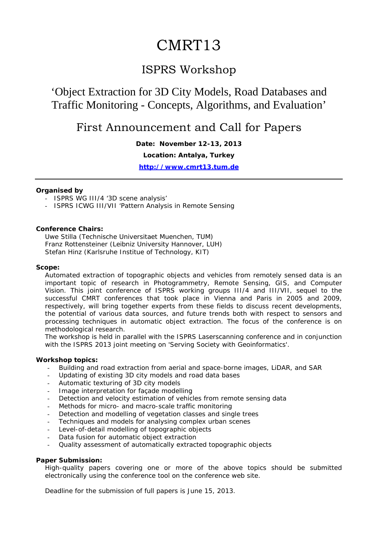# CMRT13

### ISPRS Workshop

## 'Object Extraction for 3D City Models, Road Databases and Traffic Monitoring - Concepts, Algorithms, and Evaluation'

### First Announcement and Call for Papers

**Date: November 12-13, 2013**

**Location: Antalya, Turkey** 

**http://www.cmrt13.tum.de**

#### **Organised by**

- ISPRS WG III/4 '3D scene analysis'
- ISPRS ICWG III/VII 'Pattern Analysis in Remote Sensing

#### **Conference Chairs:**

Uwe Stilla (Technische Universitaet Muenchen, TUM) Franz Rottensteiner (Leibniz University Hannover, LUH) Stefan Hinz (Karlsruhe Institue of Technology, KIT)

#### **Scope:**

Automated extraction of topographic objects and vehicles from remotely sensed data is an important topic of research in Photogrammetry, Remote Sensing, GIS, and Computer Vision. This joint conference of ISPRS working groups III/4 and III/VII, sequel to the successful CMRT conferences that took place in Vienna and Paris in 2005 and 2009, respectively, will bring together experts from these fields to discuss recent developments, the potential of various data sources, and future trends both with respect to sensors and processing techniques in automatic object extraction. The focus of the conference is on methodological research.

The workshop is held in parallel with the ISPRS Laserscanning conference and in conjunction with the ISPRS 2013 joint meeting on 'Serving Society with Geoinformatics'.

#### **Workshop topics:**

- Building and road extraction from aerial and space-borne images, LiDAR, and SAR
- Updating of existing 3D city models and road data bases
- Automatic texturing of 3D city models
- Image interpretation for façade modelling
- Detection and velocity estimation of vehicles from remote sensing data
- Methods for micro- and macro-scale traffic monitoring
- Detection and modelling of vegetation classes and single trees
- Techniques and models for analysing complex urban scenes
- Level-of-detail modelling of topographic objects
- Data fusion for automatic object extraction
- Quality assessment of automatically extracted topographic objects

#### **Paper Submission:**

High-quality papers covering one or more of the above topics should be submitted electronically using the conference tool on the conference web site.

Deadline for the submission of full papers is June 15, 2013.